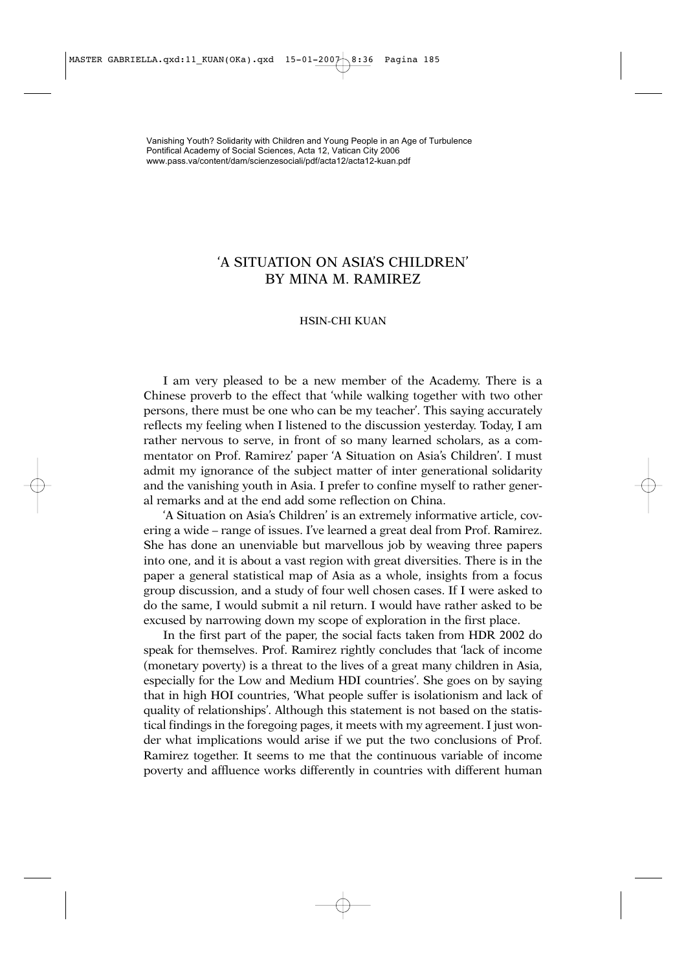## 'A SITUATION ON ASIA'S CHILDREN' BY MINA M. RAMIREZ

## HSIN-CHI KUAN

I am very pleased to be a new member of the Academy. There is a Chinese proverb to the effect that 'while walking together with two other persons, there must be one who can be my teacher'. This saying accurately reflects my feeling when I listened to the discussion yesterday. Today, I am rather nervous to serve, in front of so many learned scholars, as a commentator on Prof. Ramirez' paper 'A Situation on Asia's Children'. I must admit my ignorance of the subject matter of inter generational solidarity and the vanishing youth in Asia. I prefer to confine myself to rather general remarks and at the end add some reflection on China.

'A Situation on Asia's Children' is an extremely informative article, covering a wide – range of issues. I've learned a great deal from Prof. Ramirez. She has done an unenviable but marvellous job by weaving three papers into one, and it is about a vast region with great diversities. There is in the paper a general statistical map of Asia as a whole, insights from a focus group discussion, and a study of four well chosen cases. If I were asked to do the same, I would submit a nil return. I would have rather asked to be excused by narrowing down my scope of exploration in the first place.

In the first part of the paper, the social facts taken from HDR 2002 do speak for themselves. Prof. Ramirez rightly concludes that 'lack of income (monetary poverty) is a threat to the lives of a great many children in Asia, especially for the Low and Medium HDI countries'. She goes on by saying that in high HOI countries, 'What people suffer is isolationism and lack of quality of relationships'. Although this statement is not based on the statistical findings in the foregoing pages, it meets with my agreement. I just wonder what implications would arise if we put the two conclusions of Prof. Ramirez together. It seems to me that the continuous variable of income poverty and affluence works differently in countries with different human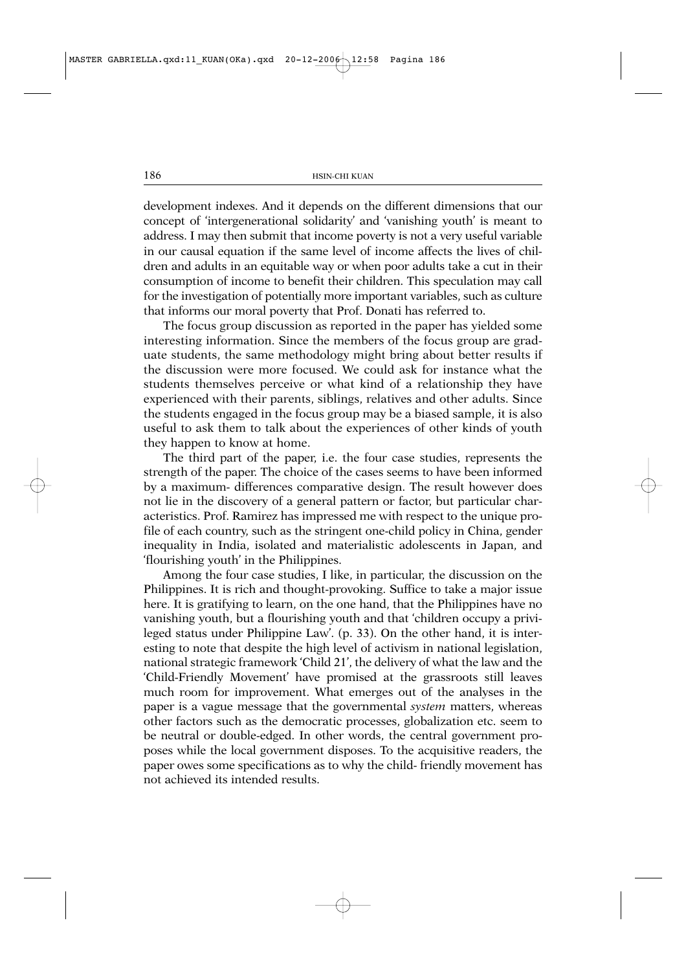development indexes. And it depends on the different dimensions that our concept of 'intergenerational solidarity' and 'vanishing youth' is meant to address. I may then submit that income poverty is not a very useful variable in our causal equation if the same level of income affects the lives of children and adults in an equitable way or when poor adults take a cut in their consumption of income to benefit their children. This speculation may call for the investigation of potentially more important variables, such as culture that informs our moral poverty that Prof. Donati has referred to.

The focus group discussion as reported in the paper has yielded some interesting information. Since the members of the focus group are graduate students, the same methodology might bring about better results if the discussion were more focused. We could ask for instance what the students themselves perceive or what kind of a relationship they have experienced with their parents, siblings, relatives and other adults. Since the students engaged in the focus group may be a biased sample, it is also useful to ask them to talk about the experiences of other kinds of youth they happen to know at home.

The third part of the paper, i.e. the four case studies, represents the strength of the paper. The choice of the cases seems to have been informed by a maximum- differences comparative design. The result however does not lie in the discovery of a general pattern or factor, but particular characteristics. Prof. Ramirez has impressed me with respect to the unique profile of each country, such as the stringent one-child policy in China, gender inequality in India, isolated and materialistic adolescents in Japan, and 'flourishing youth' in the Philippines.

Among the four case studies, I like, in particular, the discussion on the Philippines. It is rich and thought-provoking. Suffice to take a major issue here. It is gratifying to learn, on the one hand, that the Philippines have no vanishing youth, but a flourishing youth and that 'children occupy a privileged status under Philippine Law'. (p. 33). On the other hand, it is interesting to note that despite the high level of activism in national legislation, national strategic framework 'Child 21', the delivery of what the law and the 'Child-Friendly Movement' have promised at the grassroots still leaves much room for improvement. What emerges out of the analyses in the paper is a vague message that the governmental *system* matters, whereas other factors such as the democratic processes, globalization etc. seem to be neutral or double-edged. In other words, the central government proposes while the local government disposes. To the acquisitive readers, the paper owes some specifications as to why the child- friendly movement has not achieved its intended results.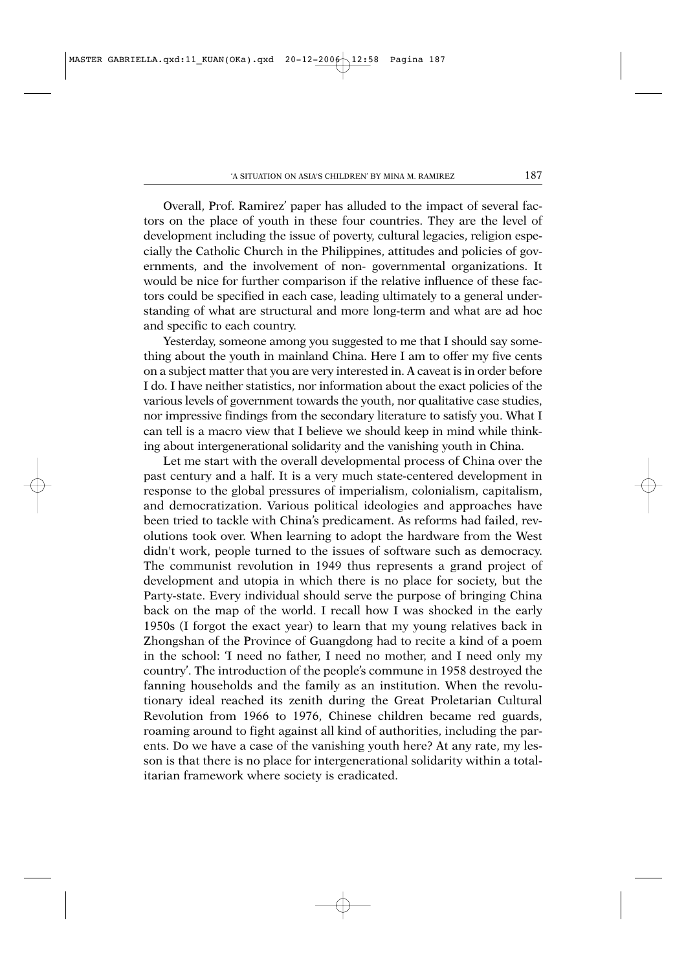Overall, Prof. Ramirez' paper has alluded to the impact of several factors on the place of youth in these four countries. They are the level of development including the issue of poverty, cultural legacies, religion especially the Catholic Church in the Philippines, attitudes and policies of governments, and the involvement of non- governmental organizations. It would be nice for further comparison if the relative influence of these factors could be specified in each case, leading ultimately to a general understanding of what are structural and more long-term and what are ad hoc and specific to each country.

Yesterday, someone among you suggested to me that I should say something about the youth in mainland China. Here I am to offer my five cents on a subject matter that you are very interested in. A caveat is in order before I do. I have neither statistics, nor information about the exact policies of the various levels of government towards the youth, nor qualitative case studies, nor impressive findings from the secondary literature to satisfy you. What I can tell is a macro view that I believe we should keep in mind while thinking about intergenerational solidarity and the vanishing youth in China.

Let me start with the overall developmental process of China over the past century and a half. It is a very much state-centered development in response to the global pressures of imperialism, colonialism, capitalism, and democratization. Various political ideologies and approaches have been tried to tackle with China's predicament. As reforms had failed, revolutions took over. When learning to adopt the hardware from the West didn't work, people turned to the issues of software such as democracy. The communist revolution in 1949 thus represents a grand project of development and utopia in which there is no place for society, but the Party-state. Every individual should serve the purpose of bringing China back on the map of the world. I recall how I was shocked in the early 1950s (I forgot the exact year) to learn that my young relatives back in Zhongshan of the Province of Guangdong had to recite a kind of a poem in the school: 'I need no father, I need no mother, and I need only my country'. The introduction of the people's commune in 1958 destroyed the fanning households and the family as an institution. When the revolutionary ideal reached its zenith during the Great Proletarian Cultural Revolution from 1966 to 1976, Chinese children became red guards, roaming around to fight against all kind of authorities, including the parents. Do we have a case of the vanishing youth here? At any rate, my lesson is that there is no place for intergenerational solidarity within a totalitarian framework where society is eradicated.